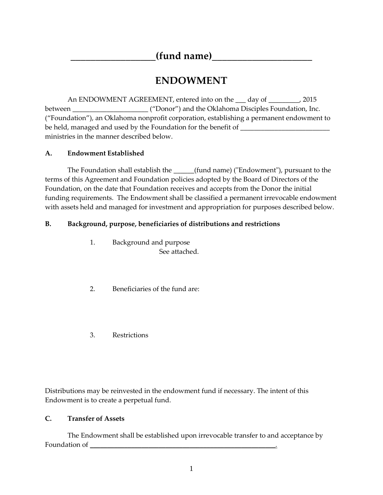## **\_\_\_\_\_\_\_\_\_\_\_\_\_\_\_\_\_(fund name)\_\_\_\_\_\_\_\_\_\_\_\_\_\_\_\_\_\_\_\_**

# **ENDOWMENT**

An ENDOWMENT AGREEMENT, entered into on the \_\_\_ day of \_\_\_\_\_\_\_\_\_, 2015 between \_\_\_\_\_\_\_\_\_\_\_\_\_\_\_\_\_\_\_\_\_\_ ("Donor") and the Oklahoma Disciples Foundation, Inc. ("Foundation"), an Oklahoma nonprofit corporation, establishing a permanent endowment to be held, managed and used by the Foundation for the benefit of \_\_\_\_\_\_\_\_\_\_\_\_\_\_\_\_\_\_ ministries in the manner described below.

## **A. Endowment Established**

The Foundation shall establish the \_\_\_\_\_\_(fund name) ("Endowment"), pursuant to the terms of this Agreement and Foundation policies adopted by the Board of Directors of the Foundation, on the date that Foundation receives and accepts from the Donor the initial funding requirements. The Endowment shall be classified a permanent irrevocable endowment with assets held and managed for investment and appropriation for purposes described below.

## **B. Background, purpose, beneficiaries of distributions and restrictions**

- 1. Background and purpose See attached.
- 2. Beneficiaries of the fund are:
- 3. Restrictions

Distributions may be reinvested in the endowment fund if necessary. The intent of this Endowment is to create a perpetual fund.

## **C. Transfer of Assets**

The Endowment shall be established upon irrevocable transfer to and acceptance by Foundation of **\_\_\_\_\_\_\_\_\_\_\_\_\_\_\_\_\_\_\_\_\_\_\_\_\_\_\_\_\_\_\_\_\_\_\_\_\_\_\_\_\_\_\_\_\_\_\_\_\_\_\_\_\_***\_.*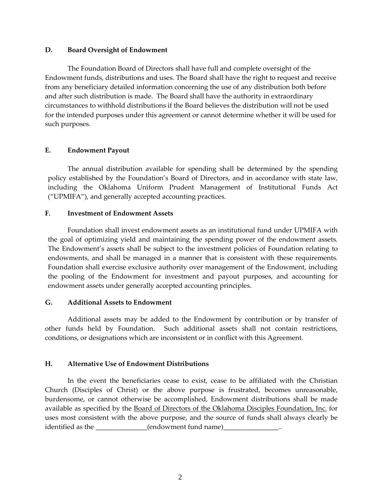#### **D. Board Oversight of Endowment**

The Foundation Board of Directors shall have full and complete oversight of the Endowment funds, distributions and uses. The Board shall have the right to request and receive from any beneficiary detailed information concerning the use of any distribution both before and after such distribution is made. The Board shall have the authority in extraordinary circumstances to withhold distributions if the Board believes the distribution will not be used for the intended purposes under this agreement or cannot determine whether it will be used for such purposes.

#### **E. Endowment Payout**

The annual distribution available for spending shall be determined by the spending policy established by the Foundation's Board of Directors, and in accordance with state law, including the Oklahoma Uniform Prudent Management of Institutional Funds Act ("UPMIFA"), and generally accepted accounting practices.

#### **F. Investment of Endowment Assets**

Foundation shall invest endowment assets as an institutional fund under UPMIFA with the goal of optimizing yield and maintaining the spending power of the endowment assets. The Endowment's assets shall be subject to the investment policies of Foundation relating to endowments, and shall be managed in a manner that is consistent with these requirements. Foundation shall exercise exclusive authority over management of the Endowment, including the pooling of the Endowment for investment and payout purposes, and accounting for endowment assets under generally accepted accounting principles.

#### **G. Additional Assets to Endowment**

Additional assets may be added to the Endowment by contribution or by transfer of other funds held by Foundation. Such additional assets shall not contain restrictions, conditions, or designations which are inconsistent or in conflict with this Agreement.

#### **H. Alternative Use of Endowment Distributions**

In the event the beneficiaries cease to exist, cease to be affiliated with the Christian Church (Disciples of Christ) or the above purpose is frustrated, becomes unreasonable, burdensome, or cannot otherwise be accomplished, Endowment distributions shall be made available as specified by the Board of Directors of the Oklahoma Disciples Foundation, Inc. for uses most consistent with the above purpose, and the source of funds shall always clearly be identified as the \_\_\_\_\_\_\_\_\_\_\_\_\_\_\_(endowment fund name)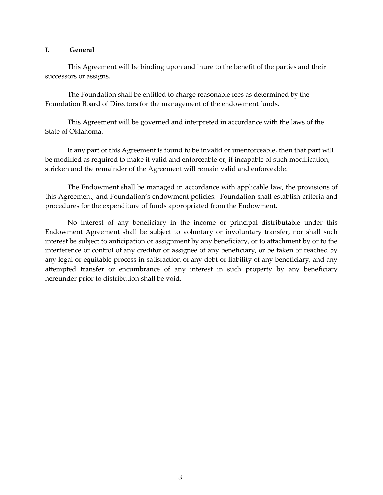#### **I. General**

This Agreement will be binding upon and inure to the benefit of the parties and their successors or assigns.

The Foundation shall be entitled to charge reasonable fees as determined by the Foundation Board of Directors for the management of the endowment funds.

This Agreement will be governed and interpreted in accordance with the laws of the State of Oklahoma.

If any part of this Agreement is found to be invalid or unenforceable, then that part will be modified as required to make it valid and enforceable or, if incapable of such modification, stricken and the remainder of the Agreement will remain valid and enforceable.

The Endowment shall be managed in accordance with applicable law, the provisions of this Agreement, and Foundation's endowment policies. Foundation shall establish criteria and procedures for the expenditure of funds appropriated from the Endowment.

No interest of any beneficiary in the income or principal distributable under this Endowment Agreement shall be subject to voluntary or involuntary transfer, nor shall such interest be subject to anticipation or assignment by any beneficiary, or to attachment by or to the interference or control of any creditor or assignee of any beneficiary, or be taken or reached by any legal or equitable process in satisfaction of any debt or liability of any beneficiary, and any attempted transfer or encumbrance of any interest in such property by any beneficiary hereunder prior to distribution shall be void.